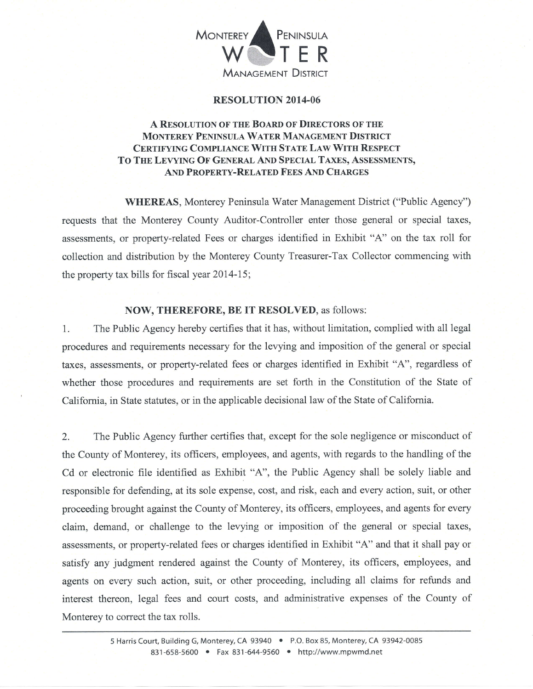

## RESOLUTION 2014.06

## A RESOLUTION OF THE BOARD OF DIRECTORS OF THE MONTEREY PENINSULA WATER MANAGEMENT DISTRICT CERTIFYING COMPLIANCE WITH STATE LAW WITH RESPECT TO THE LEVYING OF GENERAL AND SPECIAL TAXES, ASSESSMENTS, AND PROPERTY-RELATED FEES AND CHARGES

WHEREAS, Monterey Peninsula Water Management District ("Public Agency") requests that the Monterey County Auditor-Controller enter those general or special taxes, assessments, or property-related Fees or charges identified in Exhibit "A" on the tax ro11 for collection and distribution by the Monterey County Treasurer-Tax Collector commencing with the property tax bills for fiscal year 2014-15;

## NOW, THEREFORE, BE IT RESOLVED, as follows:

1. The Public Agency hereby certifies that it has, without limitation, complied with all legal procedures and requirements necessary for the levying and imposition of the general or special taxes, assessments, or property-related fees or charges identified in Exhibit "A", regardless of whether those procedures and requirements are set forth in the Constitution of the State of California, in State statutes, or in the applicable decisional law of the State of California.

2. The Public Agency further certifies that, except for the sole negligence or misconduct of the County of Monterey, its officers, employees, and agents, with regards to the handling of the Cd or electronic file identified as Exhibit "A", the Public Agency shall be solely liable and responsible for defending, at its sole expense, cost, and risk, each and every action, suit, or other proceeding brought against the County of Monterey, its officers, employees, and agents for every claim, demand, or challenge to the levying or imposition of the general or special taxes, assessments, or property-related fees or charges identified in Exhibit "A" and that it shall pay or satisfy any judgment rendered against the County of Monterey, its officers, employees, and agents on every such action, suit, or other proceeding, including all claims for refunds and interest thereon, legal fees and court costs, and administrative expenses of the County of Monterey to correct the tax rolls.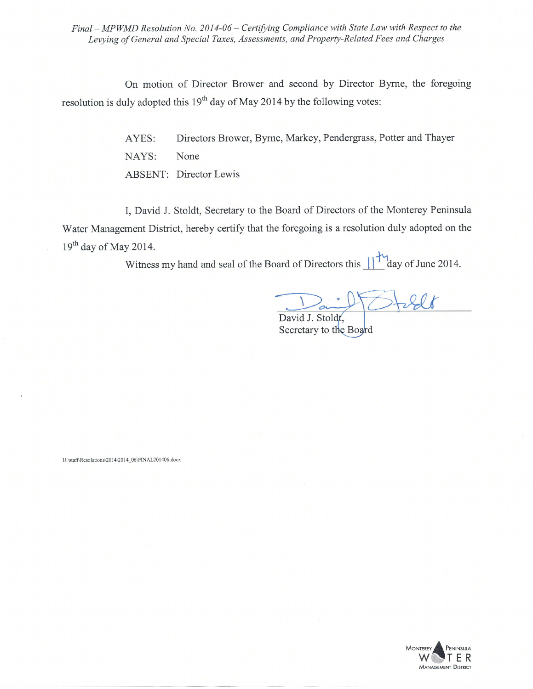Final - MPWMD Resolution No. 2014-06 - Certifying Compliance with State Law with Respect to the Levying of General and Special Taxes, Assessments, and Property-Related Fees and Charges

On motion of Director Brower and second by Director Byrne, the foregoing resolution is duly adopted this  $19<sup>th</sup>$  day of May 2014 by the following votes:

> AYES: Directors Brower, Byrne, Markey, Pendergrass, Potter and Thayer NAYS: None ABSENT: Director Lewis

I, David J. Stoldt, Secretary to the Board of Directors of the Monterey Peninsula Water Management District, hereby certify that the foregoing is a resolution duly adopted on the  $19<sup>th</sup>$  day of May 2014.

Witness my hand and seal of the Board of Directors this  $\frac{1}{4}$  day of June 2014.

David J. Stoldt Secretary to the Board

U:\staff\Resolutions\2014\2014\_06\FINAL201406.docx